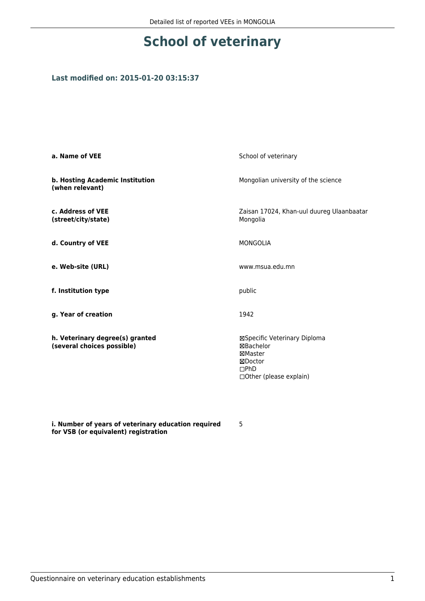## **School of veterinary**

## **Last modified on: 2015-01-20 03:15:37**

| a. Name of VEE                                                | School of veterinary                                                                                       |  |
|---------------------------------------------------------------|------------------------------------------------------------------------------------------------------------|--|
| b. Hosting Academic Institution<br>(when relevant)            | Mongolian university of the science                                                                        |  |
| c. Address of VEE<br>(street/city/state)                      | Zaisan 17024, Khan-uul duureg Ulaanbaatar<br>Mongolia                                                      |  |
| d. Country of VEE                                             | <b>MONGOLIA</b>                                                                                            |  |
| e. Web-site (URL)                                             | www.msua.edu.mn                                                                                            |  |
| f. Institution type                                           | public                                                                                                     |  |
| g. Year of creation                                           | 1942                                                                                                       |  |
| h. Veterinary degree(s) granted<br>(several choices possible) | ⊠Specific Veterinary Diploma<br><b>⊠Bachelor</b><br>⊠Master<br>⊠Doctor<br>DPhD<br>□ Other (please explain) |  |

**i. Number of years of veterinary education required for VSB (or equivalent) registration**

5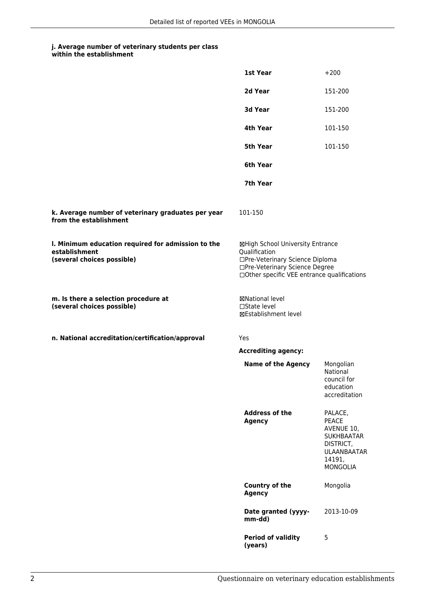## **j. Average number of veterinary students per class**

|                                                                                                   | 1st Year                                                                                                                                                              | $+200$                                                                                                                     |
|---------------------------------------------------------------------------------------------------|-----------------------------------------------------------------------------------------------------------------------------------------------------------------------|----------------------------------------------------------------------------------------------------------------------------|
|                                                                                                   | 2d Year                                                                                                                                                               | 151-200                                                                                                                    |
|                                                                                                   | 3d Year                                                                                                                                                               | 151-200                                                                                                                    |
|                                                                                                   | 4th Year                                                                                                                                                              | 101-150                                                                                                                    |
|                                                                                                   | 5th Year                                                                                                                                                              | 101-150                                                                                                                    |
|                                                                                                   | 6th Year                                                                                                                                                              |                                                                                                                            |
|                                                                                                   | 7th Year                                                                                                                                                              |                                                                                                                            |
| k. Average number of veterinary graduates per year<br>from the establishment                      | 101-150                                                                                                                                                               |                                                                                                                            |
| I. Minimum education required for admission to the<br>establishment<br>(several choices possible) | ⊠High School University Entrance<br>Qualification<br>□Pre-Veterinary Science Diploma<br>□Pre-Veterinary Science Degree<br>□Other specific VEE entrance qualifications |                                                                                                                            |
| m. Is there a selection procedure at<br>(several choices possible)                                | ⊠National level<br>$\Box$ State level<br>⊠Establishment level                                                                                                         |                                                                                                                            |
| n. National accreditation/certification/approval                                                  | Yes                                                                                                                                                                   |                                                                                                                            |
|                                                                                                   | <b>Accrediting agency:</b>                                                                                                                                            |                                                                                                                            |
|                                                                                                   | <b>Name of the Agency</b>                                                                                                                                             | Mongolian<br>National<br>council for<br>education<br>accreditation                                                         |
|                                                                                                   | <b>Address of the</b><br><b>Agency</b>                                                                                                                                | PALACE,<br><b>PEACE</b><br>AVENUE 10,<br><b>SUKHBAATAR</b><br>DISTRICT,<br><b>ULAANBAATAR</b><br>14191,<br><b>MONGOLIA</b> |
|                                                                                                   | <b>Country of the</b><br><b>Agency</b>                                                                                                                                | Mongolia                                                                                                                   |
|                                                                                                   | Date granted (yyyy-<br>mm-dd)                                                                                                                                         | 2013-10-09                                                                                                                 |
|                                                                                                   | <b>Period of validity</b><br>(years)                                                                                                                                  | 5                                                                                                                          |